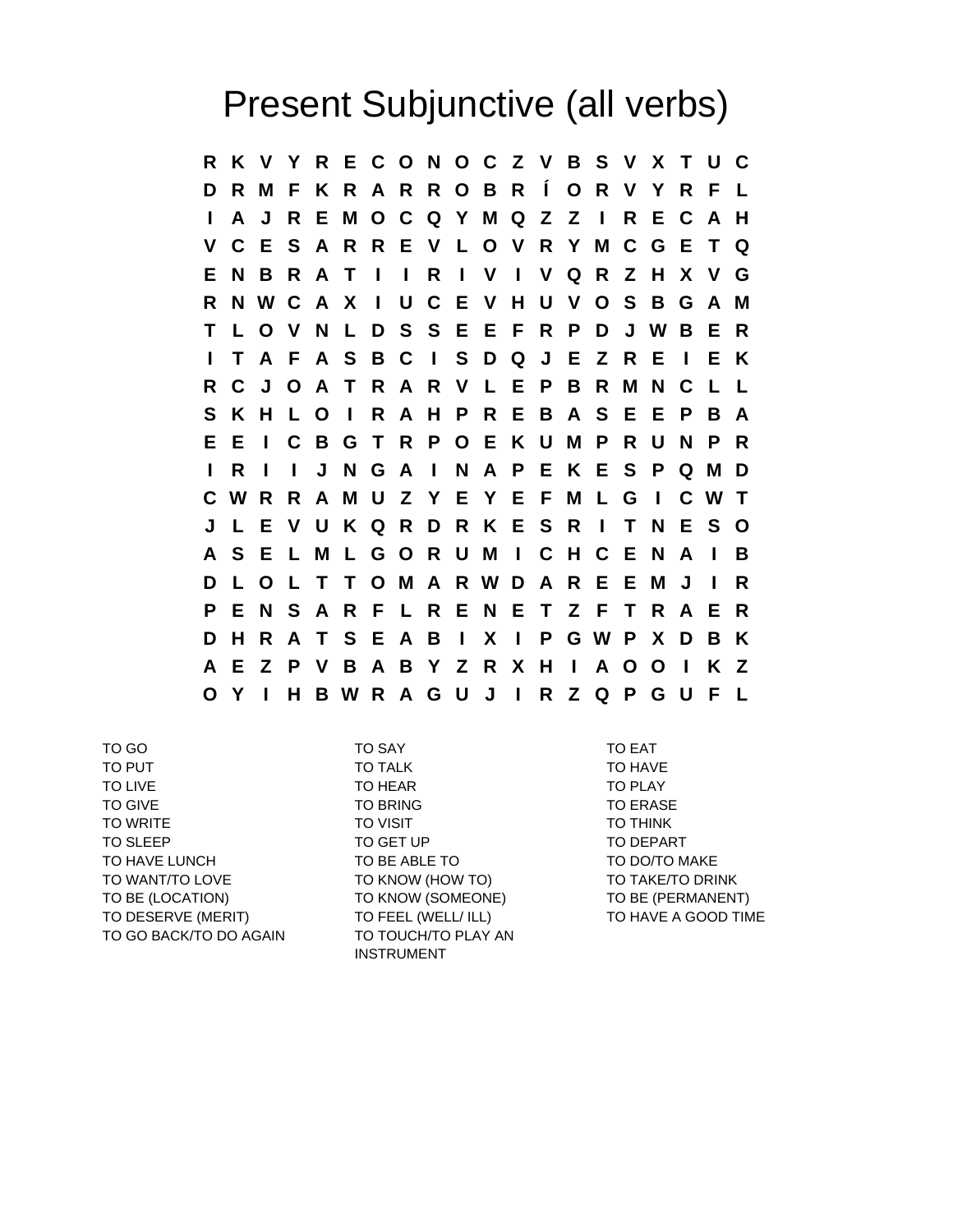## Present Subjunctive (all verbs)

**R K V Y R E C O N O C Z V B S V X T U C D R M F K R A R R O B R Í O R V Y R F L I A J R E M O C Q Y M Q Z Z I R E C A H V C E S A R R E V L O V R Y M C G E T Q E N B R A T I I R I V I V Q R Z H X V G R N W C A X I U C E V H U V O S B G A M T L O V N L D S S E E F R P D J W B E R I T A F A S B C I S D Q J E Z R E I E K R C J O A T R A R V L E P B R M N C L L S K H L O I R A H P R E B A S E E P B A E E I C B G T R P O E K U M P R U N P R I R I I J N G A I N A P E K E S P Q M D C W R R A M U Z Y E Y E F M L G I C W T J L E V U K Q R D R K E S R I T N E S O A S E L M L G O R U M I C H C E N A I B D L O L T T O M A R W D A R E E M J I R P E N S A R F L R E N E T Z F T R A E R D H R A T S E A B I X I P G W P X D B K A E Z P V B A B Y Z R X H I A O O I K Z O Y I H B W R A G U J I R Z Q P G U F L**

TO GO TO SAY TO EAT TO PUT TO TALK TO TALK TO TALK TO TALK TO TALK TO LIVE TO HEAR TO HEAR TO PLAY TO GIVE TO BRING TO BRING TO A TO ERASE TO WRITE **TO VISIT TO THINK** TO SLEEP TO GET UP TO GET UP TO DEPART TO HAVE LUNCH TO BE ABLE TO TO DO/TO MAKE TO WANT/TO LOVE TO KNOW (HOW TO) TO TAKE/TO DRINK TO BE (LOCATION) TO KNOW (SOMEONE) TO BE (PERMANENT) TO DESERVE (MERIT) TO FEEL (WELL/ ILL) TO HAVE A GOOD TIME TO GO BACK/TO DO AGAIN TO TOUCH/TO PLAY AN

INSTRUMENT